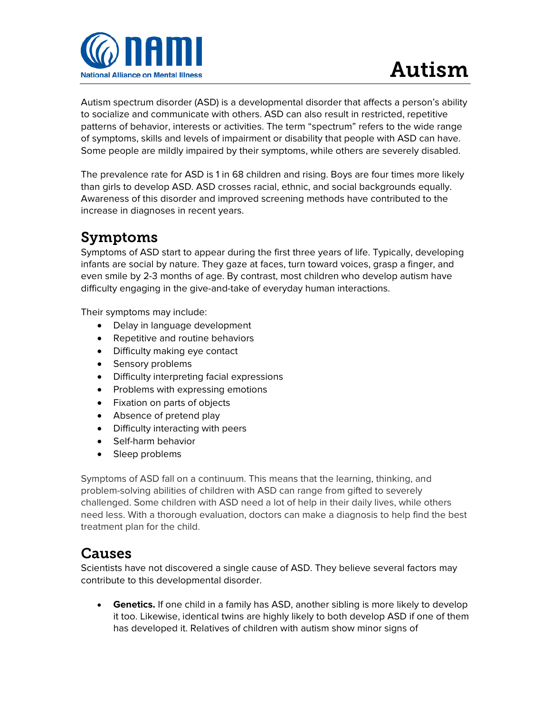

Autism spectrum disorder (ASD) is a developmental disorder that affects a person's ability to socialize and communicate with others. ASD can also result in restricted, repetitive patterns of behavior, interests or activities. The term "spectrum" refers to the wide range of symptoms, skills and levels of impairment or disability that people with ASD can have. Some people are mildly impaired by their symptoms, while others are severely disabled.

The prevalence rate for ASD is 1 in 68 children and rising. Boys are four times more likely than girls to develop ASD. ASD crosses racial, ethnic, and social backgrounds equally. Awareness of this disorder and improved screening methods have contributed to the increase in diagnoses in recent years.

## Symptoms

Symptoms of ASD start to appear during the first three years of life. Typically, developing infants are social by nature. They gaze at faces, turn toward voices, grasp a finger, and even smile by 2-3 months of age. By contrast, most children who develop autism have difficulty engaging in the give-and-take of everyday human interactions.

Their symptoms may include:

- Delay in language development
- Repetitive and routine behaviors
- Difficulty making eye contact
- Sensory problems
- Difficulty interpreting facial expressions
- Problems with expressing emotions
- Fixation on parts of objects
- Absence of pretend play
- Difficulty interacting with peers
- Self-harm behavior
- Sleep problems

Symptoms of ASD fall on a continuum. This means that the learning, thinking, and problem-solving abilities of children with ASD can range from gifted to severely challenged. Some children with ASD need a lot of help in their daily lives, while others need less. With a thorough evaluation, doctors can make a diagnosis to help find the best treatment plan for the child.

## Causes

Scientists have not discovered a single cause of ASD. They believe several factors may contribute to this developmental disorder.

• **Genetics.** If one child in a family has ASD, another sibling is more likely to develop it too. Likewise, identical twins are highly likely to both develop ASD if one of them has developed it. Relatives of children with autism show minor signs of